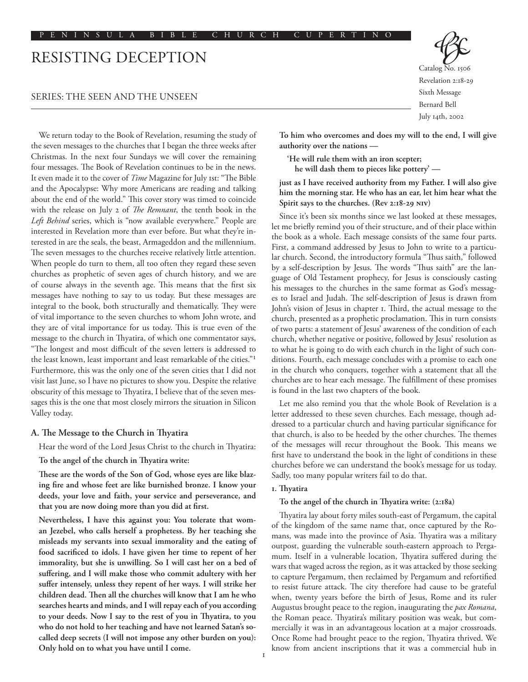# Resisting Deception

# Series: The Seen and the Unseen

We return today to the Book of Revelation, resuming the study of the seven messages to the churches that I began the three weeks after Christmas. In the next four Sundays we will cover the remaining four messages. The Book of Revelation continues to be in the news. It even made it to the cover of *Time* Magazine for July 1st: "The Bible and the Apocalypse: Why more Americans are reading and talking about the end of the world." This cover story was timed to coincide with the release on July 2 of *The Remnant*, the tenth book in the *Left Behind* series, which is "now available everywhere." People are interested in Revelation more than ever before. But what they're interested in are the seals, the beast, Armageddon and the millennium. The seven messages to the churches receive relatively little attention. When people do turn to them, all too often they regard these seven churches as prophetic of seven ages of church history, and we are of course always in the seventh age. This means that the first six messages have nothing to say to us today. But these messages are integral to the book, both structurally and thematically. They were of vital importance to the seven churches to whom John wrote, and they are of vital importance for us today. This is true even of the message to the church in Thyatira, of which one commentator says, "The longest and most difficult of the seven letters is addressed to the least known, least important and least remarkable of the cities."1 Furthermore, this was the only one of the seven cities that I did not visit last June, so I have no pictures to show you. Despite the relative obscurity of this message to Thyatira, I believe that of the seven messages this is the one that most closely mirrors the situation in Silicon Valley today.

#### **A. The Message to the Church in Thyatira**

Hear the word of the Lord Jesus Christ to the church in Thyatira:

**To the angel of the church in Thyatira write:** 

**These are the words of the Son of God, whose eyes are like blazing fire and whose feet are like burnished bronze. I know your deeds, your love and faith, your service and perseverance, and that you are now doing more than you did at first.** 

**Nevertheless, I have this against you: You tolerate that woman Jezebel, who calls herself a prophetess. By her teaching she misleads my servants into sexual immorality and the eating of food sacrificed to idols. I have given her time to repent of her immorality, but she is unwilling. So I will cast her on a bed of suffering, and I will make those who commit adultery with her suffer intensely, unless they repent of her ways. I will strike her children dead. Then all the churches will know that I am he who searches hearts and minds, and I will repay each of you according to your deeds. Now I say to the rest of you in Thyatira, to you who do not hold to her teaching and have not learned Satan's socalled deep secrets (I will not impose any other burden on you): Only hold on to what you have until I come.** 



July 14th, 2002

**To him who overcomes and does my will to the end, I will give authority over the nations —** 

**'He will rule them with an iron scepter;** 

 **he will dash them to pieces like pottery' —**

**just as I have received authority from my Father. I will also give him the morning star. He who has an ear, let him hear what the Spirit says to the churches. (Rev 2:18-29 NIV)**

Since it's been six months since we last looked at these messages, let me briefly remind you of their structure, and of their place within the book as a whole. Each message consists of the same four parts. First, a command addressed by Jesus to John to write to a particular church. Second, the introductory formula "Thus saith," followed by a self-description by Jesus. The words "Thus saith" are the language of Old Testament prophecy, for Jesus is consciously casting his messages to the churches in the same format as God's messages to Israel and Judah. The self-description of Jesus is drawn from John's vision of Jesus in chapter 1. Third, the actual message to the church, presented as a prophetic proclamation. This in turn consists of two parts: a statement of Jesus' awareness of the condition of each church, whether negative or positive, followed by Jesus' resolution as to what he is going to do with each church in the light of such conditions. Fourth, each message concludes with a promise to each one in the church who conquers, together with a statement that all the churches are to hear each message. The fulfillment of these promises is found in the last two chapters of the book.

Let me also remind you that the whole Book of Revelation is a letter addressed to these seven churches. Each message, though addressed to a particular church and having particular significance for that church, is also to be heeded by the other churches. The themes of the messages will recur throughout the Book. This means we first have to understand the book in the light of conditions in these churches before we can understand the book's message for us today. Sadly, too many popular writers fail to do that.

# **1. Thyatira**

## **To the angel of the church in Thyatira write: (2:18a)**

Thyatira lay about forty miles south-east of Pergamum, the capital of the kingdom of the same name that, once captured by the Romans, was made into the province of Asia. Thyatira was a military outpost, guarding the vulnerable south-eastern approach to Pergamum. Itself in a vulnerable location, Thyatira suffered during the wars that waged across the region, as it was attacked by those seeking to capture Pergamum, then reclaimed by Pergamum and refortified to resist future attack. The city therefore had cause to be grateful when, twenty years before the birth of Jesus, Rome and its ruler Augustus brought peace to the region, inaugurating the *pax Romana*, the Roman peace. Thyatira's military position was weak, but commercially it was in an advantageous location at a major crossroads. Once Rome had brought peace to the region, Thyatira thrived. We know from ancient inscriptions that it was a commercial hub in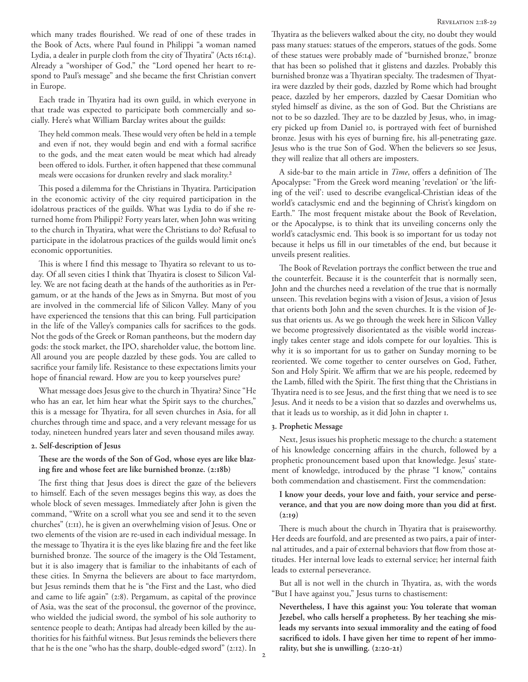which many trades flourished. We read of one of these trades in the Book of Acts, where Paul found in Philippi "a woman named Lydia, a dealer in purple cloth from the city of Thyatira" (Acts 16:14). Already a "worshiper of God," the "Lord opened her heart to respond to Paul's message" and she became the first Christian convert in Europe.

Each trade in Thyatira had its own guild, in which everyone in that trade was expected to participate both commercially and socially. Here's what William Barclay writes about the guilds:

They held common meals. These would very often be held in a temple and even if not, they would begin and end with a formal sacrifice to the gods, and the meat eaten would be meat which had already been offered to idols. Further, it often happened that these communal meals were occasions for drunken revelry and slack morality.2

This posed a dilemma for the Christians in Thyatira. Participation in the economic activity of the city required participation in the idolatrous practices of the guilds. What was Lydia to do if she returned home from Philippi? Forty years later, when John was writing to the church in Thyatira, what were the Christians to do? Refusal to participate in the idolatrous practices of the guilds would limit one's economic opportunities.

This is where I find this message to Thyatira so relevant to us today. Of all seven cities I think that Thyatira is closest to Silicon Valley. We are not facing death at the hands of the authorities as in Pergamum, or at the hands of the Jews as in Smyrna. But most of you are involved in the commercial life of Silicon Valley. Many of you have experienced the tensions that this can bring. Full participation in the life of the Valley's companies calls for sacrifices to the gods. Not the gods of the Greek or Roman pantheons, but the modern day gods: the stock market, the IPO, shareholder value, the bottom line. All around you are people dazzled by these gods. You are called to sacrifice your family life. Resistance to these expectations limits your hope of financial reward. How are you to keep yourselves pure?

What message does Jesus give to the church in Thyatira? Since "He who has an ear, let him hear what the Spirit says to the churches," this is a message for Thyatira, for all seven churches in Asia, for all churches through time and space, and a very relevant message for us today, nineteen hundred years later and seven thousand miles away.

## **2. Self-description of Jesus**

# **These are the words of the Son of God, whose eyes are like blazing fire and whose feet are like burnished bronze. (2:18b)**

The first thing that Jesus does is direct the gaze of the believers to himself. Each of the seven messages begins this way, as does the whole block of seven messages. Immediately after John is given the command, "Write on a scroll what you see and send it to the seven churches" (1:11), he is given an overwhelming vision of Jesus. One or two elements of the vision are re-used in each individual message. In the message to Thyatira it is the eyes like blazing fire and the feet like burnished bronze. The source of the imagery is the Old Testament, but it is also imagery that is familiar to the inhabitants of each of these cities. In Smyrna the believers are about to face martyrdom, but Jesus reminds them that he is "the First and the Last, who died and came to life again" (2:8). Pergamum, as capital of the province of Asia, was the seat of the proconsul, the governor of the province, who wielded the judicial sword, the symbol of his sole authority to sentence people to death; Antipas had already been killed by the authorities for his faithful witness. But Jesus reminds the believers there that he is the one "who has the sharp, double-edged sword" (2:12). In Thyatira as the believers walked about the city, no doubt they would pass many statues: statues of the emperors, statues of the gods. Some of these statues were probably made of "burnished bronze," bronze that has been so polished that it glistens and dazzles. Probably this burnished bronze was a Thyatiran specialty. The tradesmen of Thyatira were dazzled by their gods, dazzled by Rome which had brought peace, dazzled by her emperors, dazzled by Caesar Domitian who styled himself as divine, as the son of God. But the Christians are not to be so dazzled. They are to be dazzled by Jesus, who, in imagery picked up from Daniel 10, is portrayed with feet of burnished bronze. Jesus with his eyes of burning fire, his all-penetrating gaze. Jesus who is the true Son of God. When the believers so see Jesus, they will realize that all others are imposters.

A side-bar to the main article in *Time*, offers a definition of The Apocalypse: "From the Greek word meaning 'revelation' or 'the lifting of the veil': used to describe evangelical-Christian ideas of the world's cataclysmic end and the beginning of Christ's kingdom on Earth." The most frequent mistake about the Book of Revelation, or the Apocalypse, is to think that its unveiling concerns only the world's cataclysmic end. This book is so important for us today not because it helps us fill in our timetables of the end, but because it unveils present realities.

The Book of Revelation portrays the conflict between the true and the counterfeit. Because it is the counterfeit that is normally seen, John and the churches need a revelation of the true that is normally unseen. This revelation begins with a vision of Jesus, a vision of Jesus that orients both John and the seven churches. It is the vision of Jesus that orients us. As we go through the week here in Silicon Valley we become progressively disorientated as the visible world increasingly takes center stage and idols compete for our loyalties. This is why it is so important for us to gather on Sunday morning to be reoriented. We come together to center ourselves on God, Father, Son and Holy Spirit. We affirm that we are his people, redeemed by the Lamb, filled with the Spirit. The first thing that the Christians in Thyatira need is to see Jesus, and the first thing that we need is to see Jesus. And it needs to be a vision that so dazzles and overwhelms us, that it leads us to worship, as it did John in chapter 1.

# **3. Prophetic Message**

Next, Jesus issues his prophetic message to the church: a statement of his knowledge concerning affairs in the church, followed by a prophetic pronouncement based upon that knowledge. Jesus' statement of knowledge, introduced by the phrase "I know," contains both commendation and chastisement. First the commendation:

# **I know your deeds, your love and faith, your service and perseverance, and that you are now doing more than you did at first. (2:19)**

There is much about the church in Thyatira that is praiseworthy. Her deeds are fourfold, and are presented as two pairs, a pair of internal attitudes, and a pair of external behaviors that flow from those attitudes. Her internal love leads to external service; her internal faith leads to external perseverance.

But all is not well in the church in Thyatira, as, with the words "But I have against you," Jesus turns to chastisement:

**Nevertheless, I have this against you: You tolerate that woman Jezebel, who calls herself a prophetess. By her teaching she misleads my servants into sexual immorality and the eating of food sacrificed to idols. I have given her time to repent of her immorality, but she is unwilling. (2:20-21)**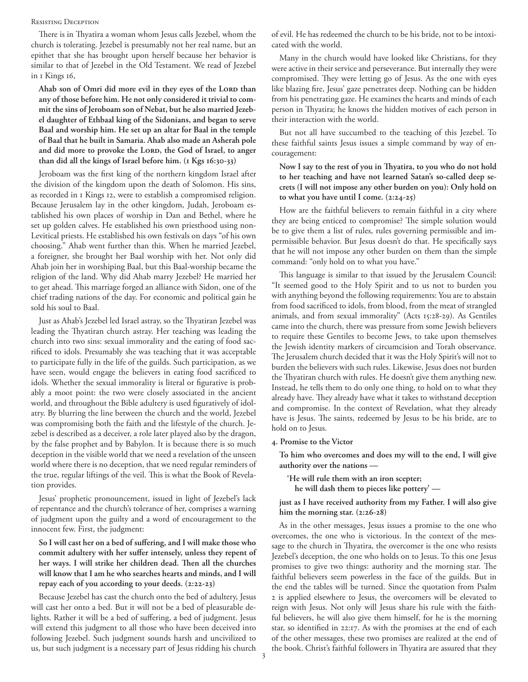#### Resisting Deception

There is in Thyatira a woman whom Jesus calls Jezebel, whom the church is tolerating. Jezebel is presumably not her real name, but an epithet that she has brought upon herself because her behavior is similar to that of Jezebel in the Old Testament. We read of Jezebel in 1 Kings 16,

Ahab son of Omri did more evil in they eyes of the LORD than **any of those before him. He not only considered it trivial to commit the sins of Jeroboam son of Nebat, but he also married Jezebel daughter of Ethbaal king of the Sidonians, and began to serve Baal and worship him. He set up an altar for Baal in the temple of Baal that he built in Samaria. Ahab also made an Asherah pole**  and did more to provoke the LORD, the God of Israel, to anger **than did all the kings of Israel before him. (1 Kgs 16:30-33)**

Jeroboam was the first king of the northern kingdom Israel after the division of the kingdom upon the death of Solomon. His sins, as recorded in 1 Kings 12, were to establish a compromised religion. Because Jerusalem lay in the other kingdom, Judah, Jeroboam established his own places of worship in Dan and Bethel, where he set up golden calves. He established his own priesthood using non-Levitical priests. He established his own festivals on days "of his own choosing." Ahab went further than this. When he married Jezebel, a foreigner, she brought her Baal worship with her. Not only did Ahab join her in worshiping Baal, but this Baal-worship became the religion of the land. Why did Ahab marry Jezebel? He married her to get ahead. This marriage forged an alliance with Sidon, one of the chief trading nations of the day. For economic and political gain he sold his soul to Baal.

Just as Ahab's Jezebel led Israel astray, so the Thyatiran Jezebel was leading the Thyatiran church astray. Her teaching was leading the church into two sins: sexual immorality and the eating of food sacrificed to idols. Presumably she was teaching that it was acceptable to participate fully in the life of the guilds. Such participation, as we have seen, would engage the believers in eating food sacrificed to idols. Whether the sexual immorality is literal or figurative is probably a moot point: the two were closely associated in the ancient world, and throughout the Bible adultery is used figuratively of idolatry. By blurring the line between the church and the world, Jezebel was compromising both the faith and the lifestyle of the church. Jezebel is described as a deceiver, a role later played also by the dragon, by the false prophet and by Babylon. It is because there is so much deception in the visible world that we need a revelation of the unseen world where there is no deception, that we need regular reminders of the true, regular liftings of the veil. This is what the Book of Revelation provides.

Jesus' prophetic pronouncement, issued in light of Jezebel's lack of repentance and the church's tolerance of her, comprises a warning of judgment upon the guilty and a word of encouragement to the innocent few. First, the judgment:

**So I will cast her on a bed of suffering, and I will make those who commit adultery with her suffer intensely, unless they repent of her ways. I will strike her children dead. Then all the churches will know that I am he who searches hearts and minds, and I will repay each of you according to your deeds. (2:22-23)**

Because Jezebel has cast the church onto the bed of adultery, Jesus will cast her onto a bed. But it will not be a bed of pleasurable delights. Rather it will be a bed of suffering, a bed of judgment. Jesus will extend this judgment to all those who have been deceived into following Jezebel. Such judgment sounds harsh and uncivilized to us, but such judgment is a necessary part of Jesus ridding his church of evil. He has redeemed the church to be his bride, not to be intoxicated with the world.

Many in the church would have looked like Christians, for they were active in their service and perseverance. But internally they were compromised. They were letting go of Jesus. As the one with eyes like blazing fire, Jesus' gaze penetrates deep. Nothing can be hidden from his penetrating gaze. He examines the hearts and minds of each person in Thyatira; he knows the hidden motives of each person in their interaction with the world.

But not all have succumbed to the teaching of this Jezebel. To these faithful saints Jesus issues a simple command by way of encouragement:

# **Now I say to the rest of you in Thyatira, to you who do not hold to her teaching and have not learned Satan's so-called deep secrets (I will not impose any other burden on you): Only hold on to what you have until I come. (2:24-25)**

How are the faithful believers to remain faithful in a city where they are being enticed to compromise? The simple solution would be to give them a list of rules, rules governing permissible and impermissible behavior. But Jesus doesn't do that. He specifically says that he will not impose any other burden on them than the simple command: "only hold on to what you have."

This language is similar to that issued by the Jerusalem Council: "It seemed good to the Holy Spirit and to us not to burden you with anything beyond the following requirements: You are to abstain from food sacrificed to idols, from blood, from the meat of strangled animals, and from sexual immorality" (Acts 15:28-29). As Gentiles came into the church, there was pressure from some Jewish believers to require these Gentiles to become Jews, to take upon themselves the Jewish identity markers of circumcision and Torah observance. The Jerusalem church decided that it was the Holy Spirit's will not to burden the believers with such rules. Likewise, Jesus does not burden the Thyatiran church with rules. He doesn't give them anything new. Instead, he tells them to do only one thing, to hold on to what they already have. They already have what it takes to withstand deception and compromise. In the context of Revelation, what they already have is Jesus. The saints, redeemed by Jesus to be his bride, are to hold on to Jesus.

#### **4. Promise to the Victor**

**To him who overcomes and does my will to the end, I will give authority over the nations —** 

**'He will rule them with an iron scepter;** 

 **he will dash them to pieces like pottery' —**

**just as I have received authority from my Father. I will also give him the morning star. (2:26-28)**

As in the other messages, Jesus issues a promise to the one who overcomes, the one who is victorious. In the context of the message to the church in Thyatira, the overcomer is the one who resists Jezebel's deception, the one who holds on to Jesus. To this one Jesus promises to give two things: authority and the morning star. The faithful believers seem powerless in the face of the guilds. But in the end the tables will be turned. Since the quotation from Psalm 2 is applied elsewhere to Jesus, the overcomers will be elevated to reign with Jesus. Not only will Jesus share his rule with the faithful believers, he will also give them himself, for he is the morning star, so identified in 22:17. As with the promises at the end of each of the other messages, these two promises are realized at the end of the book. Christ's faithful followers in Thyatira are assured that they